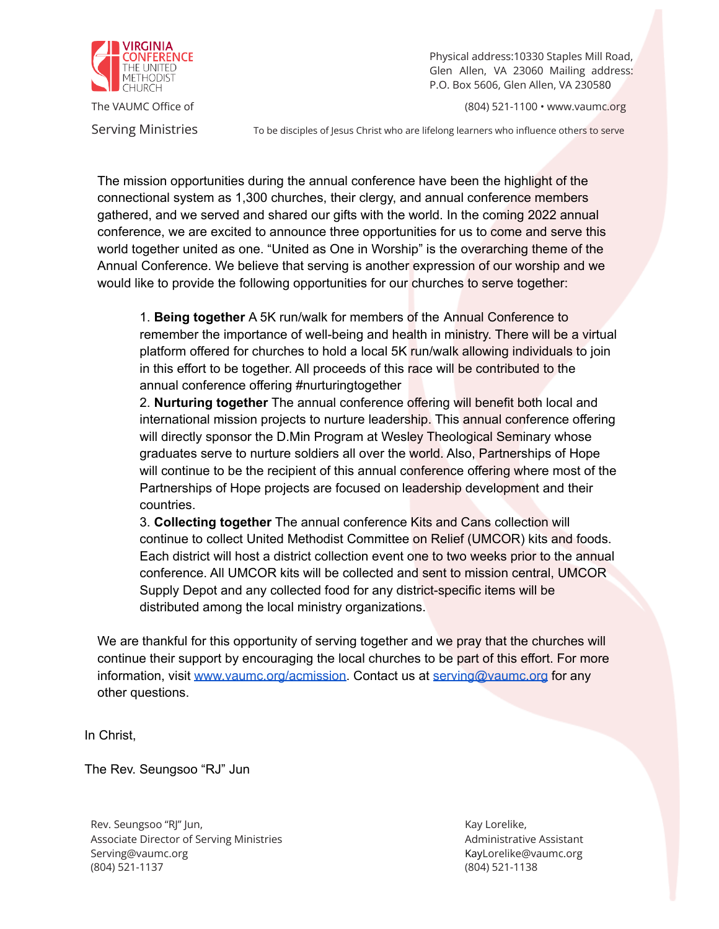

Physical address:10330 Staples Mill Road, Glen Allen, VA 23060 Mailing address: P.O. Box 5606, Glen Allen, VA 230580

The VAUMC Office of **Contract Contract Contract Contract Contract Contract Contract Contract Contract Contract Contract Contract Contract Contract Contract Contract Contract Contract Contract Contract Contract Contract Con** 

Serving Ministries To be disciples of Jesus Christ who are lifelong learners who influence others to serve

The mission opportunities during the annual conference have been the highlight of the connectional system as 1,300 churches, their clergy, and annual conference members gathered, and we served and shared our gifts with the world. In the coming 2022 annual conference, we are excited to announce three opportunities for us to come and serve this world together united as one. "United as One in Worship" is the overarching theme of the Annual Conference. We believe that serving is another expression of our worship and we would like to provide the following opportunities for our churches to serve together:

1. **Being together** A 5K run/walk for members of the Annual Conference to remember the importance of well-being and health in ministry. There will be a virtual platform offered for churches to hold a local 5K run/walk allowing individuals to join in this effort to be together. All proceeds of this race will be contributed to the annual conference offering #nurturingtogether

2. **Nurturing together** The annual conference offering will benefit both local and international mission projects to nurture leadership. This annual conference offering will directly sponsor the D.Min Program at Wesley Theological Seminary whose graduates serve to nurture soldiers all over the world. Also, Partnerships of Hope will continue to be the recipient of this annual conference offering where most of the Partnerships of Hope projects are focused on leadership development and their countries.

3. **Collecting together** The annual conference Kits and Cans collection will continue to collect United Methodist Committee on Relief (UMCOR) kits and foods. Each district will host a district collection event one to two weeks prior to the annual conference. All UMCOR kits will be collected and sent to mission central, UMCOR Supply Depot and any collected food for any district-specific items will be distributed among the local ministry organizations.

We are thankful for this opportunity of serving together and we pray that the churches will continue their support by encouraging the local churches to be part of this effort. For more information, visit [www.vaumc.org/acmission.](http://www.vaumc.org/2022acmission) Contact us at [serving@vaumc.org](mailto:serving@vaumc.org) for any other questions.

In Christ,

The Rev. Seungsoo "RJ" Jun

Rev. Seungsoo "RJ" Jun, North Christianus and American control of the Kay Lorelike, North Christianus and American control of the Kay Lorelike, Associate Director of Serving Ministries Administrative Assistant [Serving@vaumc.org](mailto:Serving@vaumc.org) KayL[orelike@vaumc.org](mailto:Lorelike@vaumc.org) KayLorelike@vaumc.org (804) 521-1137 (804) 521-1138